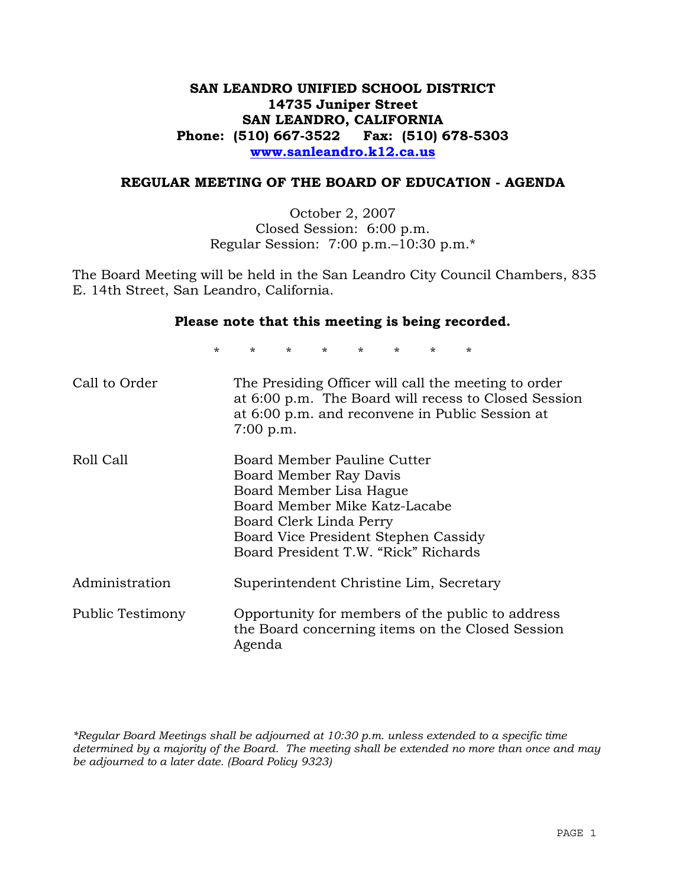# **SAN LEANDRO UNIFIED SCHOOL DISTRICT 14735 Juniper Street SAN LEANDRO, CALIFORNIA Phone: (510) 667-3522 Fax: (510) 678-5303 www.sanleandro.k12.ca.us**

### **REGULAR MEETING OF THE BOARD OF EDUCATION - AGENDA**

October 2, 2007 Closed Session: 6:00 p.m. Regular Session: 7:00 p.m.–10:30 p.m.\*

The Board Meeting will be held in the San Leandro City Council Chambers, 835 E. 14th Street, San Leandro, California.

### **Please note that this meeting is being recorded.**

\* \* \* \* \* \* \* \*

| Call to Order    | The Presiding Officer will call the meeting to order<br>at 6:00 p.m. The Board will recess to Closed Session<br>at 6:00 p.m. and reconvene in Public Session at<br>$7:00$ p.m.                                               |
|------------------|------------------------------------------------------------------------------------------------------------------------------------------------------------------------------------------------------------------------------|
| Roll Call        | Board Member Pauline Cutter<br>Board Member Ray Davis<br>Board Member Lisa Hague<br>Board Member Mike Katz-Lacabe<br>Board Clerk Linda Perry<br>Board Vice President Stephen Cassidy<br>Board President T.W. "Rick" Richards |
| Administration   | Superintendent Christine Lim, Secretary                                                                                                                                                                                      |
| Public Testimony | Opportunity for members of the public to address<br>the Board concerning items on the Closed Session<br>Agenda                                                                                                               |

*\*Regular Board Meetings shall be adjourned at 10:30 p.m. unless extended to a specific time determined by a majority of the Board. The meeting shall be extended no more than once and may be adjourned to a later date. (Board Policy 9323)*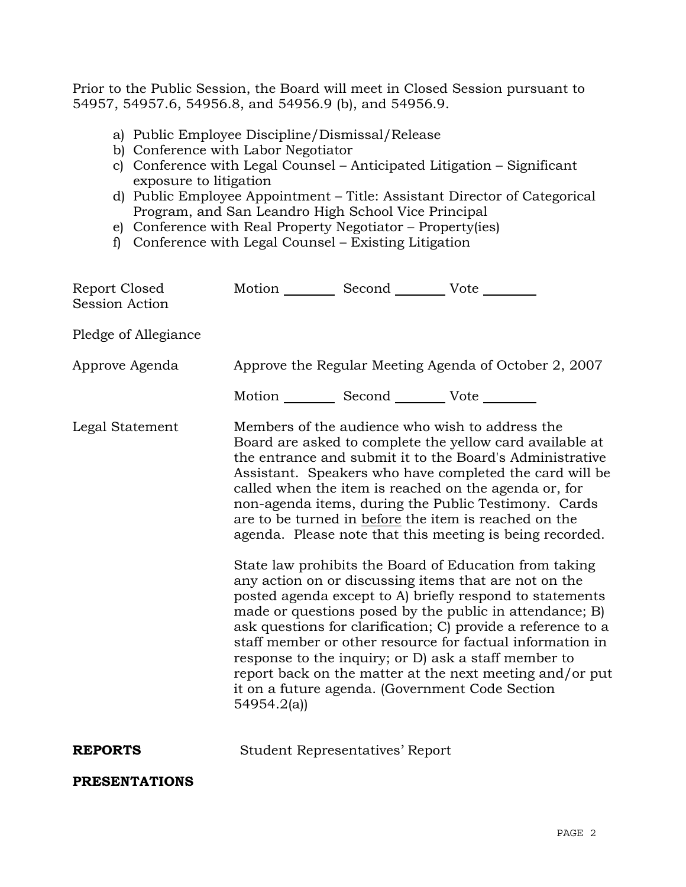Prior to the Public Session, the Board will meet in Closed Session pursuant to 54957, 54957.6, 54956.8, and 54956.9 (b), and 54956.9.

- a) Public Employee Discipline/Dismissal/Release
- b) Conference with Labor Negotiator
- c) Conference with Legal Counsel Anticipated Litigation Significant exposure to litigation
- d) Public Employee Appointment Title: Assistant Director of Categorical Program, and San Leandro High School Vice Principal
- e) Conference with Real Property Negotiator Property(ies)
- f) Conference with Legal Counsel Existing Litigation

| Report Closed<br><b>Session Action</b> | Motion __________ Second __________ Vote ________                                                                                                                                                                                                                                                                                                                                                                                                                                                                                                                                                                                                                                                                                                                                                                                                                                                       |                                        |                                                                                                             |  |  |
|----------------------------------------|---------------------------------------------------------------------------------------------------------------------------------------------------------------------------------------------------------------------------------------------------------------------------------------------------------------------------------------------------------------------------------------------------------------------------------------------------------------------------------------------------------------------------------------------------------------------------------------------------------------------------------------------------------------------------------------------------------------------------------------------------------------------------------------------------------------------------------------------------------------------------------------------------------|----------------------------------------|-------------------------------------------------------------------------------------------------------------|--|--|
| Pledge of Allegiance                   |                                                                                                                                                                                                                                                                                                                                                                                                                                                                                                                                                                                                                                                                                                                                                                                                                                                                                                         |                                        |                                                                                                             |  |  |
| Approve Agenda                         | Approve the Regular Meeting Agenda of October 2, 2007                                                                                                                                                                                                                                                                                                                                                                                                                                                                                                                                                                                                                                                                                                                                                                                                                                                   |                                        |                                                                                                             |  |  |
|                                        | Motion ___________ Second ____________ Vote _________                                                                                                                                                                                                                                                                                                                                                                                                                                                                                                                                                                                                                                                                                                                                                                                                                                                   |                                        |                                                                                                             |  |  |
| Legal Statement                        | Members of the audience who wish to address the<br>Board are asked to complete the yellow card available at<br>the entrance and submit it to the Board's Administrative<br>Assistant. Speakers who have completed the card will be<br>called when the item is reached on the agenda or, for<br>non-agenda items, during the Public Testimony. Cards<br>are to be turned in before the item is reached on the<br>agenda. Please note that this meeting is being recorded.<br>State law prohibits the Board of Education from taking<br>any action on or discussing items that are not on the<br>posted agenda except to A) briefly respond to statements<br>made or questions posed by the public in attendance; B)<br>ask questions for clarification; C) provide a reference to a<br>staff member or other resource for factual information in<br>response to the inquiry; or D) ask a staff member to |                                        |                                                                                                             |  |  |
|                                        | 54954.2(a)                                                                                                                                                                                                                                                                                                                                                                                                                                                                                                                                                                                                                                                                                                                                                                                                                                                                                              |                                        | report back on the matter at the next meeting and/or put<br>it on a future agenda. (Government Code Section |  |  |
| <b>REPORTS</b>                         |                                                                                                                                                                                                                                                                                                                                                                                                                                                                                                                                                                                                                                                                                                                                                                                                                                                                                                         | <b>Student Representatives' Report</b> |                                                                                                             |  |  |
| <b>PRESENTATIONS</b>                   |                                                                                                                                                                                                                                                                                                                                                                                                                                                                                                                                                                                                                                                                                                                                                                                                                                                                                                         |                                        |                                                                                                             |  |  |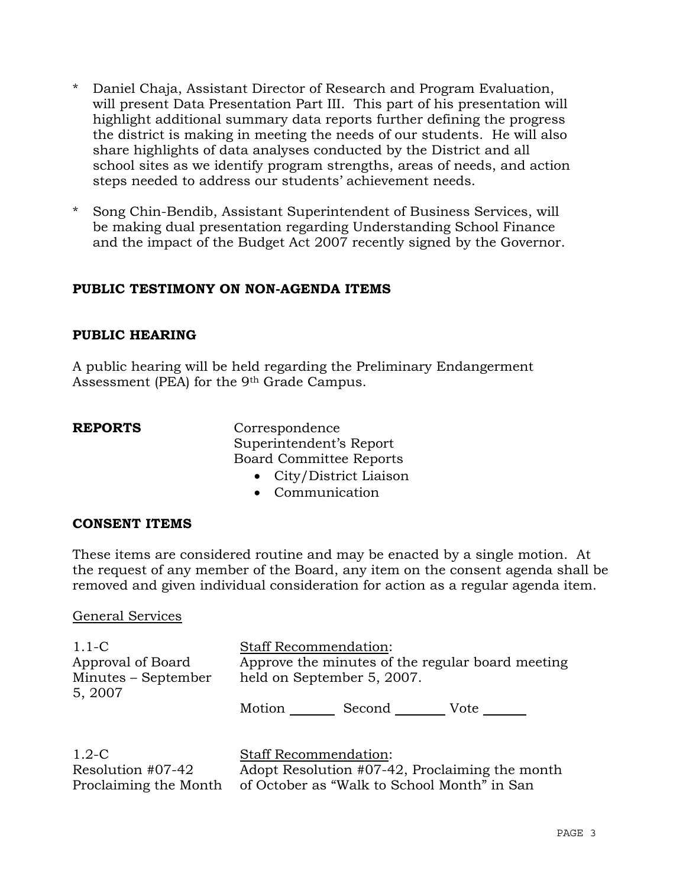- \* Daniel Chaja, Assistant Director of Research and Program Evaluation, will present Data Presentation Part III. This part of his presentation will highlight additional summary data reports further defining the progress the district is making in meeting the needs of our students. He will also share highlights of data analyses conducted by the District and all school sites as we identify program strengths, areas of needs, and action steps needed to address our students' achievement needs.
- Song Chin-Bendib, Assistant Superintendent of Business Services, will be making dual presentation regarding Understanding School Finance and the impact of the Budget Act 2007 recently signed by the Governor.

# **PUBLIC TESTIMONY ON NON-AGENDA ITEMS**

# **PUBLIC HEARING**

A public hearing will be held regarding the Preliminary Endangerment Assessment (PEA) for the 9th Grade Campus.

**REPORTS** Correspondence Superintendent's Report Board Committee Reports

- City/District Liaison
- Communication

## **CONSENT ITEMS**

These items are considered routine and may be enacted by a single motion. At the request of any member of the Board, any item on the consent agenda shall be removed and given individual consideration for action as a regular agenda item.

## General Services

1.1-C Approval of Board Minutes – September 5, 2007 Staff Recommendation: Approve the minutes of the regular board meeting held on September 5, 2007. Motion Second Vote \_\_\_\_\_

| $1.2 - C$         | <b>Staff Recommendation:</b>                                      |
|-------------------|-------------------------------------------------------------------|
| Resolution #07-42 | Adopt Resolution #07-42, Proclaiming the month                    |
|                   | Proclaiming the Month of October as "Walk to School Month" in San |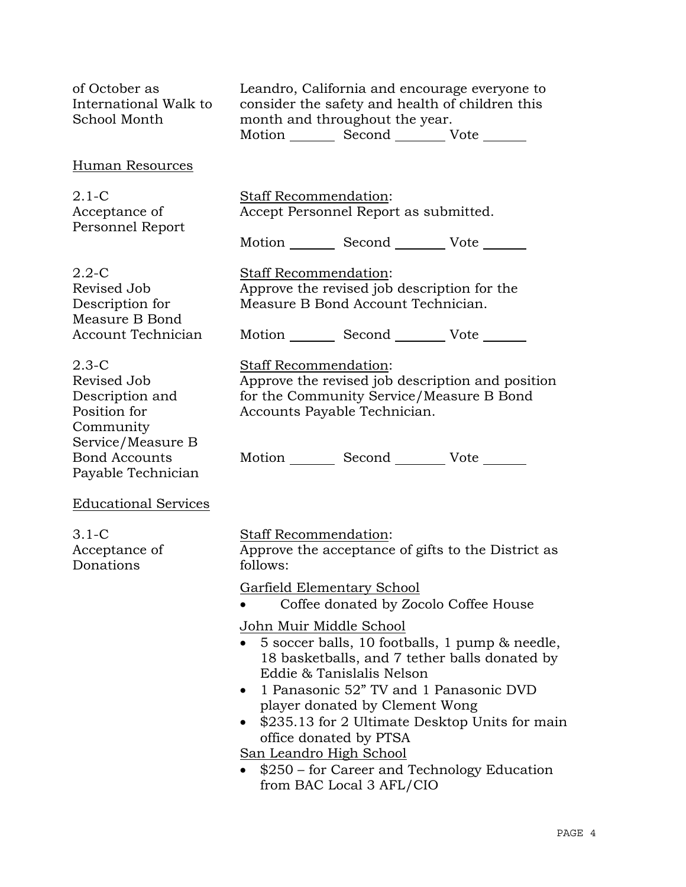| of October as<br>International Walk to<br>School Month                                        | Leandro, California and encourage everyone to<br>consider the safety and health of children this<br>month and throughout the year.<br>Motion _________ Second _________ Vote _____                                                                                                                                                                                                                                                                |  |  |  |
|-----------------------------------------------------------------------------------------------|---------------------------------------------------------------------------------------------------------------------------------------------------------------------------------------------------------------------------------------------------------------------------------------------------------------------------------------------------------------------------------------------------------------------------------------------------|--|--|--|
| Human Resources                                                                               |                                                                                                                                                                                                                                                                                                                                                                                                                                                   |  |  |  |
| $2.1-C$<br>Acceptance of<br>Personnel Report                                                  | Staff Recommendation:<br>Accept Personnel Report as submitted.<br>Motion _________ Second __________ Vote _______                                                                                                                                                                                                                                                                                                                                 |  |  |  |
| $2.2 - C$<br>Revised Job<br>Description for<br>Measure B Bond                                 | <b>Staff Recommendation:</b><br>Approve the revised job description for the<br>Measure B Bond Account Technician.                                                                                                                                                                                                                                                                                                                                 |  |  |  |
| <b>Account Technician</b>                                                                     | Motion Second Vote                                                                                                                                                                                                                                                                                                                                                                                                                                |  |  |  |
| $2.3 - C$<br>Revised Job<br>Description and<br>Position for<br>Community<br>Service/Measure B | <b>Staff Recommendation:</b><br>Approve the revised job description and position<br>for the Community Service/Measure B Bond<br>Accounts Payable Technician.                                                                                                                                                                                                                                                                                      |  |  |  |
| <b>Bond Accounts</b><br>Payable Technician                                                    | Motion Second Vote                                                                                                                                                                                                                                                                                                                                                                                                                                |  |  |  |
| <b>Educational Services</b>                                                                   |                                                                                                                                                                                                                                                                                                                                                                                                                                                   |  |  |  |
| $3.1-C$<br>Acceptance of<br>Donations                                                         | Staff Recommendation:<br>Approve the acceptance of gifts to the District as<br>follows:                                                                                                                                                                                                                                                                                                                                                           |  |  |  |
|                                                                                               | Garfield Elementary School<br>Coffee donated by Zocolo Coffee House                                                                                                                                                                                                                                                                                                                                                                               |  |  |  |
|                                                                                               | John Muir Middle School<br>• 5 soccer balls, 10 footballs, 1 pump & needle,<br>18 basketballs, and 7 tether balls donated by<br>Eddie & Tanislalis Nelson<br>1 Panasonic 52" TV and 1 Panasonic DVD<br>$\bullet$<br>player donated by Clement Wong<br>\$235.13 for 2 Ultimate Desktop Units for main<br>$\bullet$<br>office donated by PTSA<br>San Leandro High School<br>\$250 – for Career and Technology Education<br>from BAC Local 3 AFL/CIO |  |  |  |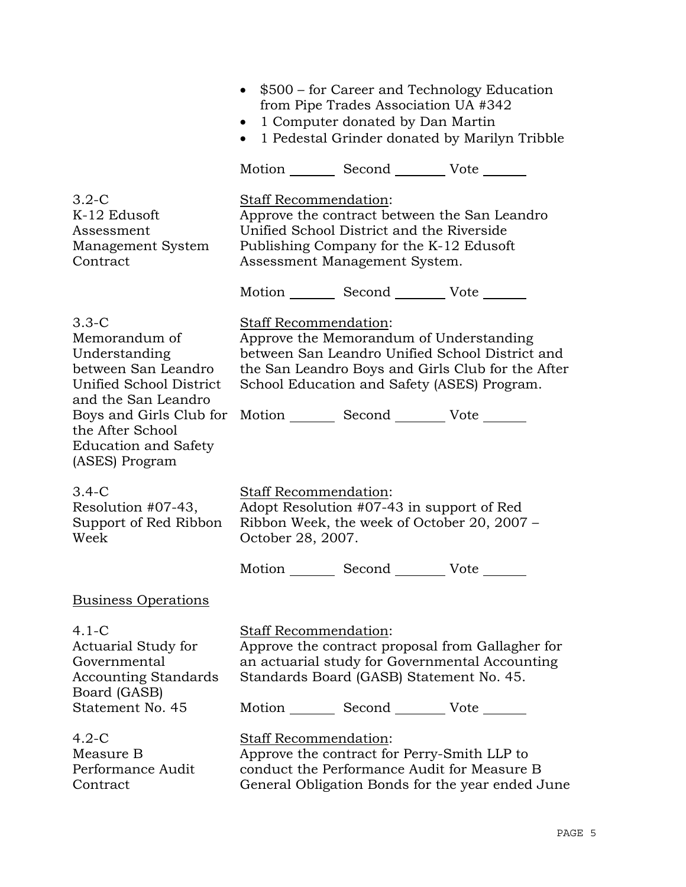|                                                                                                                                                                                                                    | • \$500 – for Career and Technology Education<br>from Pipe Trades Association UA #342<br>1 Computer donated by Dan Martin<br>$\bullet$<br>1 Pedestal Grinder donated by Marilyn Tribble<br>$\bullet$                                                                              |  |  |  |
|--------------------------------------------------------------------------------------------------------------------------------------------------------------------------------------------------------------------|-----------------------------------------------------------------------------------------------------------------------------------------------------------------------------------------------------------------------------------------------------------------------------------|--|--|--|
|                                                                                                                                                                                                                    | Motion _________ Second ___________ Vote ________                                                                                                                                                                                                                                 |  |  |  |
| $3.2-C$<br>K-12 Edusoft<br>Assessment<br>Management System<br>Contract                                                                                                                                             | Staff Recommendation:<br>Approve the contract between the San Leandro<br>Unified School District and the Riverside<br>Publishing Company for the K-12 Edusoft<br>Assessment Management System.                                                                                    |  |  |  |
|                                                                                                                                                                                                                    | Motion _________ Second __________ Vote _______                                                                                                                                                                                                                                   |  |  |  |
| $3.3-C$<br>Memorandum of<br>Understanding<br>between San Leandro<br>Unified School District<br>and the San Leandro<br>Boys and Girls Club for<br>the After School<br><b>Education and Safety</b><br>(ASES) Program | <b>Staff Recommendation:</b><br>Approve the Memorandum of Understanding<br>between San Leandro Unified School District and<br>the San Leandro Boys and Girls Club for the After<br>School Education and Safety (ASES) Program.<br>Motion _________ Second __________ Vote _______ |  |  |  |
| $3.4-C$<br>Resolution #07-43,<br>Support of Red Ribbon<br>Week                                                                                                                                                     | Staff Recommendation:<br>Adopt Resolution #07-43 in support of Red<br>Ribbon Week, the week of October 20, 2007 -<br>October 28, 2007.                                                                                                                                            |  |  |  |
|                                                                                                                                                                                                                    | Motion _________ Second __________ Vote _______                                                                                                                                                                                                                                   |  |  |  |
| <b>Business Operations</b>                                                                                                                                                                                         |                                                                                                                                                                                                                                                                                   |  |  |  |
| $4.1 - C$<br>Actuarial Study for<br>Governmental<br><b>Accounting Standards</b><br>Board (GASB)                                                                                                                    | Staff Recommendation:<br>Approve the contract proposal from Gallagher for<br>an actuarial study for Governmental Accounting<br>Standards Board (GASB) Statement No. 45.                                                                                                           |  |  |  |
| Statement No. 45                                                                                                                                                                                                   | Motion _________ Second __________ Vote _______                                                                                                                                                                                                                                   |  |  |  |
| $4.2-C$<br>Measure B<br>Performance Audit<br>Contract                                                                                                                                                              | Staff Recommendation:<br>Approve the contract for Perry-Smith LLP to<br>conduct the Performance Audit for Measure B<br>General Obligation Bonds for the year ended June                                                                                                           |  |  |  |